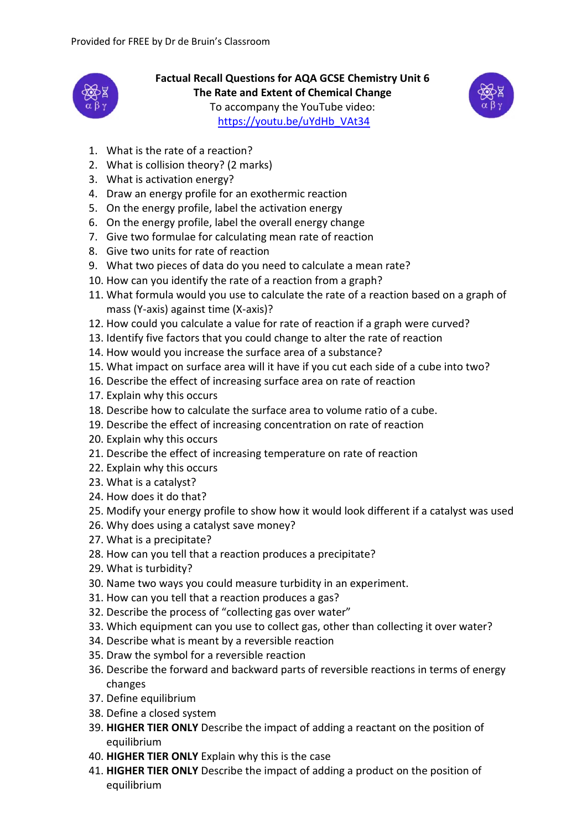

**Factual Recall Questions for AQA GCSE Chemistry Unit 6 The Rate and Extent of Chemical Change** To accompany the YouTube video: [https://youtu.be/uYdHb\\_VAt34](https://youtu.be/uYdHb_VAt34)



- 1. What is the rate of a reaction?
- 2. What is collision theory? (2 marks)
- 3. What is activation energy?
- 4. Draw an energy profile for an exothermic reaction
- 5. On the energy profile, label the activation energy
- 6. On the energy profile, label the overall energy change
- 7. Give two formulae for calculating mean rate of reaction
- 8. Give two units for rate of reaction
- 9. What two pieces of data do you need to calculate a mean rate?
- 10. How can you identify the rate of a reaction from a graph?
- 11. What formula would you use to calculate the rate of a reaction based on a graph of mass (Y-axis) against time (X-axis)?
- 12. How could you calculate a value for rate of reaction if a graph were curved?
- 13. Identify five factors that you could change to alter the rate of reaction
- 14. How would you increase the surface area of a substance?
- 15. What impact on surface area will it have if you cut each side of a cube into two?
- 16. Describe the effect of increasing surface area on rate of reaction
- 17. Explain why this occurs
- 18. Describe how to calculate the surface area to volume ratio of a cube.
- 19. Describe the effect of increasing concentration on rate of reaction
- 20. Explain why this occurs
- 21. Describe the effect of increasing temperature on rate of reaction
- 22. Explain why this occurs
- 23. What is a catalyst?
- 24. How does it do that?
- 25. Modify your energy profile to show how it would look different if a catalyst was used
- 26. Why does using a catalyst save money?
- 27. What is a precipitate?
- 28. How can you tell that a reaction produces a precipitate?
- 29. What is turbidity?
- 30. Name two ways you could measure turbidity in an experiment.
- 31. How can you tell that a reaction produces a gas?
- 32. Describe the process of "collecting gas over water"
- 33. Which equipment can you use to collect gas, other than collecting it over water?
- 34. Describe what is meant by a reversible reaction
- 35. Draw the symbol for a reversible reaction
- 36. Describe the forward and backward parts of reversible reactions in terms of energy changes
- 37. Define equilibrium
- 38. Define a closed system
- 39. **HIGHER TIER ONLY** Describe the impact of adding a reactant on the position of equilibrium
- 40. **HIGHER TIER ONLY** Explain why this is the case
- 41. **HIGHER TIER ONLY** Describe the impact of adding a product on the position of equilibrium